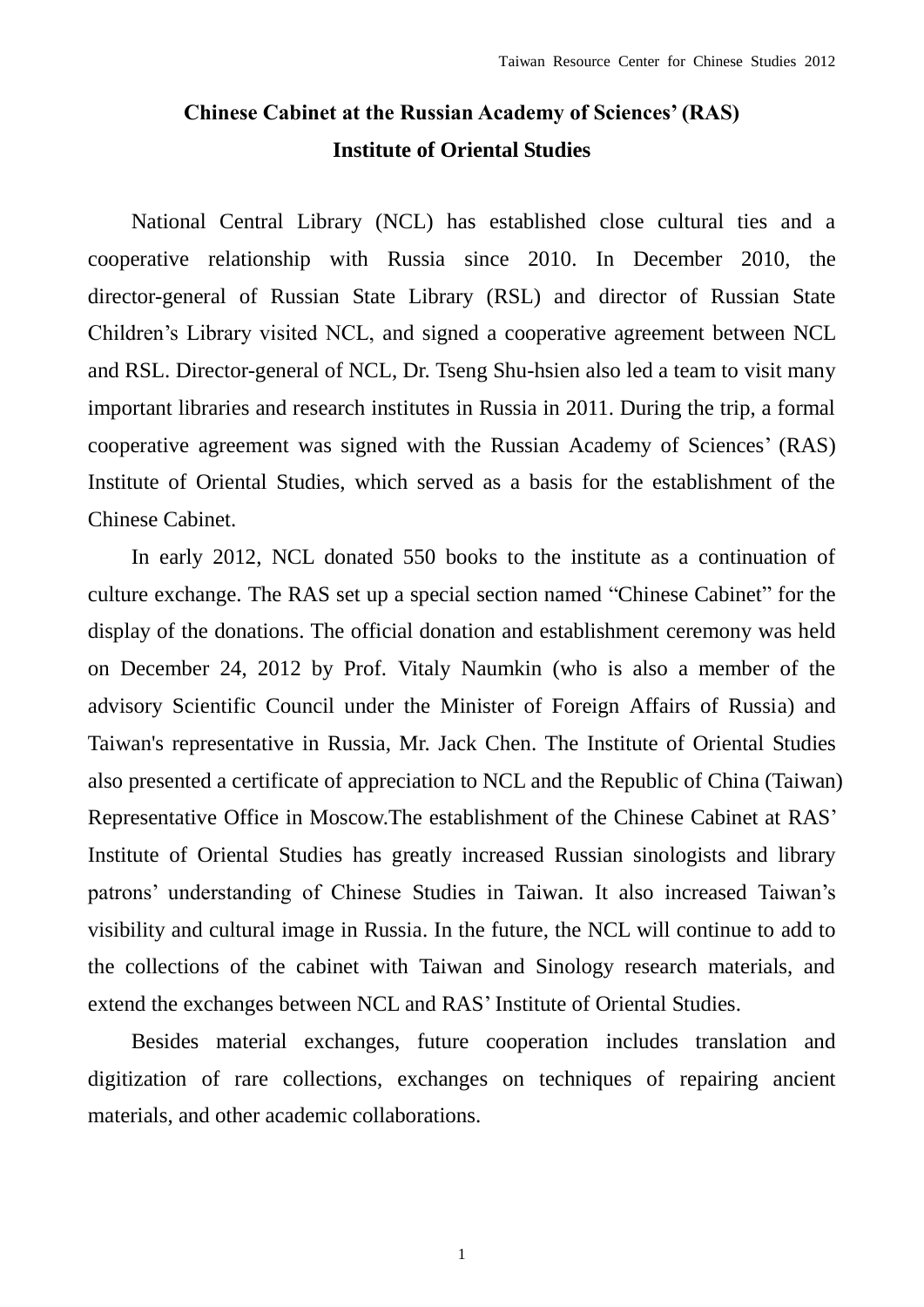## **Chinese Cabinet at the Russian Academy of Sciences' (RAS) Institute of Oriental Studies**

National Central Library (NCL) has established close cultural ties and a cooperative relationship with Russia since 2010. In December 2010, the director-general of Russian State Library (RSL) and director of Russian State Children's Library visited NCL, and signed a cooperative agreement between NCL and RSL. Director-general of NCL, Dr. Tseng Shu-hsien also led a team to visit many important libraries and research institutes in Russia in 2011. During the trip, a formal cooperative agreement was signed with the Russian Academy of Sciences' (RAS) Institute of Oriental Studies, which served as a basis for the establishment of the Chinese Cabinet.

In early 2012, NCL donated 550 books to the institute as a continuation of culture exchange. The RAS set up a special section named "Chinese Cabinet" for the display of the donations. The official donation and establishment ceremony was held on December 24, 2012 by Prof. Vitaly Naumkin (who is also a member of the advisory Scientific Council under the Minister of Foreign Affairs of Russia) and Taiwan's representative in Russia, Mr. Jack Chen. The Institute of Oriental Studies also presented a certificate of appreciation to NCL and the Republic of China (Taiwan) Representative Office in Moscow.The establishment of the Chinese Cabinet at RAS' Institute of Oriental Studies has greatly increased Russian sinologists and library patrons' understanding of Chinese Studies in Taiwan. It also increased Taiwan's visibility and cultural image in Russia. In the future, the NCL will continue to add to the collections of the cabinet with Taiwan and Sinology research materials, and extend the exchanges between NCL and RAS' Institute of Oriental Studies.

Besides material exchanges, future cooperation includes translation and digitization of rare collections, exchanges on techniques of repairing ancient materials, and other academic collaborations.

1